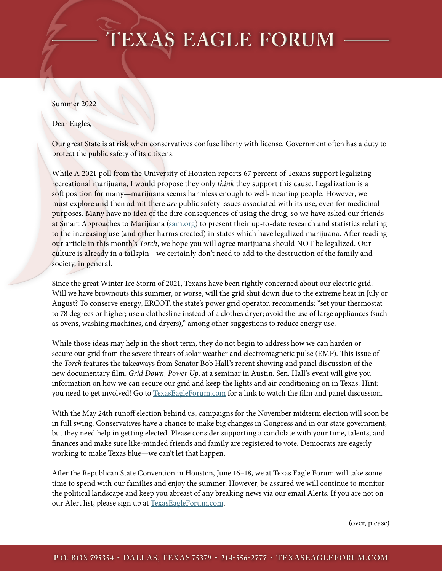## **TEXAS EAGLE FORUM**

## Summer 2022

Dear Eagles,

Our great State is at risk when conservatives confuse liberty with license. Government often has a duty to protect the public safety of its citizens.

While A 2021 poll from the University of Houston reports 67 percent of Texans support legalizing recreational marijuana, I would propose they only *think* they support this cause. Legalization is a soft position for many—marijuana seems harmless enough to well-meaning people. However, we must explore and then admit there *are* public safety issues associated with its use, even for medicinal purposes. Many have no idea of the dire consequences of using the drug, so we have asked our friends at Smart Approaches to Marijuana (sam.org) to present their up-to-date research and statistics relating to the increasing use (and other harms created) in states which have legalized marijuana. After reading our article in this month's *Torch*, we hope you will agree marijuana should NOT be legalized. Our culture is already in a tailspin—we certainly don't need to add to the destruction of the family and society, in general.

Since the great Winter Ice Storm of 2021, Texans have been rightly concerned about our electric grid. Will we have brownouts this summer, or worse, will the grid shut down due to the extreme heat in July or August? To conserve energy, ERCOT, the state's power grid operator, recommends: "set your thermostat to 78 degrees or higher; use a clothesline instead of a clothes dryer; avoid the use of large appliances (such as ovens, washing machines, and dryers)," among other suggestions to reduce energy use.

While those ideas may help in the short term, they do not begin to address how we can harden or secure our grid from the severe threats of solar weather and electromagnetic pulse (EMP). This issue of the *Torch* features the takeaways from Senator Bob Hall's recent showing and panel discussion of the new documentary film, *Grid Down, Power Up*, at a seminar in Austin. Sen. Hall's event will give you information on how we can secure our grid and keep the lights and air conditioning on in Texas. Hint: you need to get involved! Go to TexasEagleForum.com for a link to watch the film and panel discussion.

With the May 24th runoff election behind us, campaigns for the November midterm election will soon be in full swing. Conservatives have a chance to make big changes in Congress and in our state government, but they need help in getting elected. Please consider supporting a candidate with your time, talents, and finances and make sure like-minded friends and family are registered to vote. Democrats are eagerly working to make Texas blue—we can't let that happen.

After the Republican State Convention in Houston, June 16–18, we at Texas Eagle Forum will take some time to spend with our families and enjoy the summer. However, be assured we will continue to monitor the political landscape and keep you abreast of any breaking news via our email Alerts. If you are not on our Alert list, please sign up at TexasEagleForum.com.

(over, please)